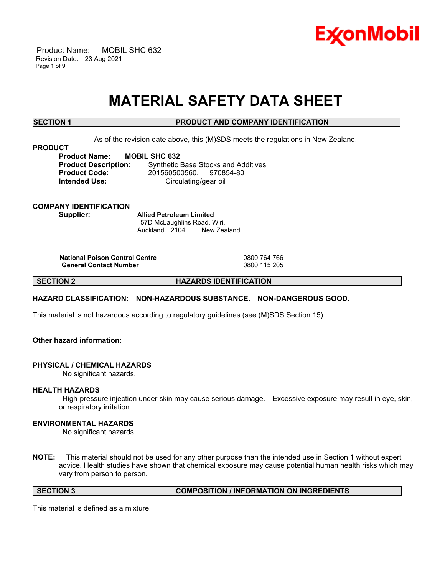

 Product Name: MOBIL SHC 632 Revision Date: 23 Aug 2021 Page 1 of 9

# **MATERIAL SAFETY DATA SHEET**

\_\_\_\_\_\_\_\_\_\_\_\_\_\_\_\_\_\_\_\_\_\_\_\_\_\_\_\_\_\_\_\_\_\_\_\_\_\_\_\_\_\_\_\_\_\_\_\_\_\_\_\_\_\_\_\_\_\_\_\_\_\_\_\_\_\_\_\_\_\_\_\_\_\_\_\_\_\_\_\_\_\_\_\_\_\_\_\_\_\_\_\_\_\_\_\_\_\_\_\_\_\_\_\_\_\_\_\_\_\_\_\_\_\_\_\_\_\_

# **SECTION 1 PRODUCT AND COMPANY IDENTIFICATION**

As of the revision date above, this (M)SDS meets the regulations in New Zealand.

#### **PRODUCT**

**Product Name: MOBIL SHC 632**

**Product Description:** Synthetic Base Stocks and Additives **Product Code:** 201560500560, 970854-80 **Intended Use:** Circulating/gear oil

### **COMPANY IDENTIFICATION Supplier: Allied Petroleum Limited**

57D McLaughlins Road, Wiri, Auckland 2104 New Zealand

**National Poison Control Centre** 0800 764 766 **General Contact Number** 

**SECTION 2 HAZARDS IDENTIFICATION**

# **HAZARD CLASSIFICATION: NON-HAZARDOUS SUBSTANCE. NON-DANGEROUS GOOD.**

This material is not hazardous according to regulatory guidelines (see (M)SDS Section 15).

# **Other hazard information:**

#### **PHYSICAL / CHEMICAL HAZARDS**

No significant hazards.

#### **HEALTH HAZARDS**

High-pressure injection under skin may cause serious damage. Excessive exposure may result in eye, skin, or respiratory irritation.

### **ENVIRONMENTAL HAZARDS**

No significant hazards.

**NOTE:** This material should not be used for any other purpose than the intended use in Section 1 without expert advice. Health studies have shown that chemical exposure may cause potential human health risks which may vary from person to person.

**SECTION 3 COMPOSITION / INFORMATION ON INGREDIENTS**

This material is defined as a mixture.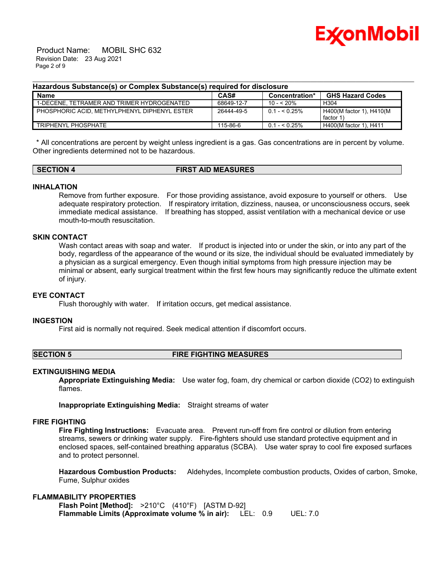

 Product Name: MOBIL SHC 632 Revision Date: 23 Aug 2021 Page 2 of 9

#### **Hazardous Substance(s) or Complex Substance(s) required for disclosure**

| <b>Name</b>                                    | CAS#       | Concentration* | <b>GHS Hazard Codes</b>              |
|------------------------------------------------|------------|----------------|--------------------------------------|
| 1-DECENE. TETRAMER AND TRIMER HYDROGENATED     | 68649-12-7 | $10 - 520%$    | H <sub>304</sub>                     |
| I PHOSPHORIC ACID. METHYLPHENYL DIPHENYL ESTER | 26444-49-5 | $0.1 - 5.25\%$ | H400(M factor 1), H410(M<br>factor 1 |
| TRIPHENYL PHOSPHATE                            | 115-86-6   | $0.1 - 5.25\%$ | H400(M factor 1), H411               |

\_\_\_\_\_\_\_\_\_\_\_\_\_\_\_\_\_\_\_\_\_\_\_\_\_\_\_\_\_\_\_\_\_\_\_\_\_\_\_\_\_\_\_\_\_\_\_\_\_\_\_\_\_\_\_\_\_\_\_\_\_\_\_\_\_\_\_\_\_\_\_\_\_\_\_\_\_\_\_\_\_\_\_\_\_\_\_\_\_\_\_\_\_\_\_\_\_\_\_\_\_\_\_\_\_\_\_\_\_\_\_\_\_\_\_\_\_\_

\* All concentrations are percent by weight unless ingredient is a gas. Gas concentrations are in percent by volume. Other ingredients determined not to be hazardous.

# **SECTION 4 FIRST AID MEASURES**

### **INHALATION**

Remove from further exposure. For those providing assistance, avoid exposure to yourself or others. Use adequate respiratory protection. If respiratory irritation, dizziness, nausea, or unconsciousness occurs, seek immediate medical assistance. If breathing has stopped, assist ventilation with a mechanical device or use mouth-to-mouth resuscitation.

# **SKIN CONTACT**

Wash contact areas with soap and water. If product is injected into or under the skin, or into any part of the body, regardless of the appearance of the wound or its size, the individual should be evaluated immediately by a physician as a surgical emergency. Even though initial symptoms from high pressure injection may be minimal or absent, early surgical treatment within the first few hours may significantly reduce the ultimate extent of injury.

# **EYE CONTACT**

Flush thoroughly with water. If irritation occurs, get medical assistance.

#### **INGESTION**

First aid is normally not required. Seek medical attention if discomfort occurs.

#### **SECTION 5 FIRE FIGHTING MEASURES**

# **EXTINGUISHING MEDIA**

**Appropriate Extinguishing Media:** Use water fog, foam, dry chemical or carbon dioxide (CO2) to extinguish flames.

**Inappropriate Extinguishing Media:** Straight streams of water

#### **FIRE FIGHTING**

**Fire Fighting Instructions:** Evacuate area. Prevent run-off from fire control or dilution from entering streams, sewers or drinking water supply. Fire-fighters should use standard protective equipment and in enclosed spaces, self-contained breathing apparatus (SCBA). Use water spray to cool fire exposed surfaces and to protect personnel.

**Hazardous Combustion Products:** Aldehydes, Incomplete combustion products, Oxides of carbon, Smoke, Fume, Sulphur oxides

# **FLAMMABILITY PROPERTIES**

**Flash Point [Method]:** >210°C (410°F) [ASTM D-92] **Flammable Limits (Approximate volume % in air):** LEL: 0.9 UEL: 7.0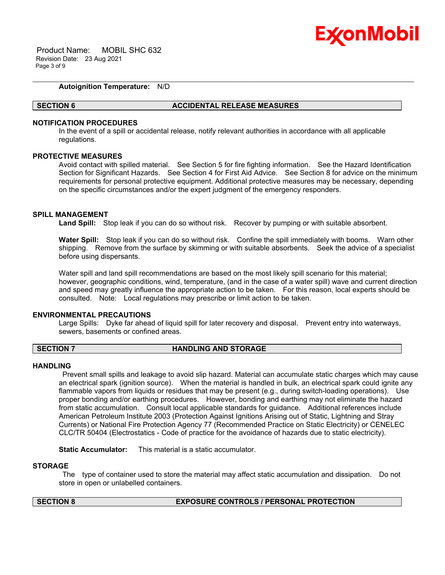

 Product Name: MOBIL SHC 632 Revision Date: 23 Aug 2021 Page 3 of 9

# **Autoignition Temperature:** N/D

#### **SECTION 6 ACCIDENTAL RELEASE MEASURES**

#### **NOTIFICATION PROCEDURES**

In the event of a spill or accidental release, notify relevant authorities in accordance with all applicable regulations.

\_\_\_\_\_\_\_\_\_\_\_\_\_\_\_\_\_\_\_\_\_\_\_\_\_\_\_\_\_\_\_\_\_\_\_\_\_\_\_\_\_\_\_\_\_\_\_\_\_\_\_\_\_\_\_\_\_\_\_\_\_\_\_\_\_\_\_\_\_\_\_\_\_\_\_\_\_\_\_\_\_\_\_\_\_\_\_\_\_\_\_\_\_\_\_\_\_\_\_\_\_\_\_\_\_\_\_\_\_\_\_\_\_\_\_\_\_\_

# **PROTECTIVE MEASURES**

Avoid contact with spilled material. See Section 5 for fire fighting information. See the Hazard Identification Section for Significant Hazards. See Section 4 for First Aid Advice. See Section 8 for advice on the minimum requirements for personal protective equipment. Additional protective measures may be necessary, depending on the specific circumstances and/or the expert judgment of the emergency responders.

#### **SPILL MANAGEMENT**

**Land Spill:** Stop leak if you can do so without risk. Recover by pumping or with suitable absorbent.

**Water Spill:** Stop leak if you can do so without risk. Confine the spill immediately with booms. Warn other shipping. Remove from the surface by skimming or with suitable absorbents. Seek the advice of a specialist before using dispersants.

Water spill and land spill recommendations are based on the most likely spill scenario for this material; however, geographic conditions, wind, temperature, (and in the case of a water spill) wave and current direction and speed may greatly influence the appropriate action to be taken. For this reason, local experts should be consulted. Note: Local regulations may prescribe or limit action to be taken.

#### **ENVIRONMENTAL PRECAUTIONS**

Large Spills: Dyke far ahead of liquid spill for later recovery and disposal. Prevent entry into waterways, sewers, basements or confined areas.

#### **SECTION 7 HANDLING AND STORAGE**

#### **HANDLING**

Prevent small spills and leakage to avoid slip hazard. Material can accumulate static charges which may cause an electrical spark (ignition source). When the material is handled in bulk, an electrical spark could ignite any flammable vapors from liquids or residues that may be present (e.g., during switch-loading operations). Use proper bonding and/or earthing procedures. However, bonding and earthing may not eliminate the hazard from static accumulation. Consult local applicable standards for guidance. Additional references include American Petroleum Institute 2003 (Protection Against Ignitions Arising out of Static, Lightning and Stray Currents) or National Fire Protection Agency 77 (Recommended Practice on Static Electricity) or CENELEC CLC/TR 50404 (Electrostatics - Code of practice for the avoidance of hazards due to static electricity).

**Static Accumulator:** This material is a static accumulator.

#### **STORAGE**

The type of container used to store the material may affect static accumulation and dissipation. Do not store in open or unlabelled containers.

## **SECTION 8 EXPOSURE CONTROLS / PERSONAL PROTECTION**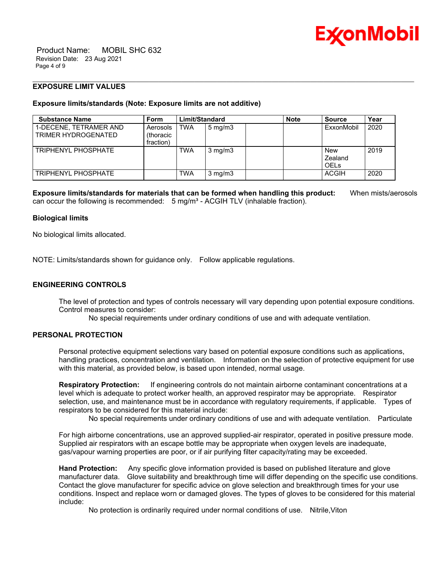

 Product Name: MOBIL SHC 632 Revision Date: 23 Aug 2021 Page 4 of 9

# **EXPOSURE LIMIT VALUES**

### **Exposure limits/standards (Note: Exposure limits are not additive)**

| <b>Substance Name</b>                         | <b>Form</b>                                | Limit/Standard |                  | <b>Note</b> | <b>Source</b>                 | Year |
|-----------------------------------------------|--------------------------------------------|----------------|------------------|-------------|-------------------------------|------|
| 1-DECENE. TETRAMER AND<br>TRIMER HYDROGENATED | Aerosols<br><i>(thoracic)</i><br>fraction) | <b>TWA</b>     | $5 \text{ mg/m}$ |             | ExxonMobil                    | 2020 |
| TRIPHENYI PHOSPHATE                           |                                            | <b>TWA</b>     | $3 \text{ mg/m}$ |             | New<br>Zealand<br><b>OELS</b> | 2019 |
| TRIPHENYL PHOSPHATE                           |                                            | <b>TWA</b>     | $3 \text{ mg/m}$ |             | <b>ACGIH</b>                  | 2020 |

\_\_\_\_\_\_\_\_\_\_\_\_\_\_\_\_\_\_\_\_\_\_\_\_\_\_\_\_\_\_\_\_\_\_\_\_\_\_\_\_\_\_\_\_\_\_\_\_\_\_\_\_\_\_\_\_\_\_\_\_\_\_\_\_\_\_\_\_\_\_\_\_\_\_\_\_\_\_\_\_\_\_\_\_\_\_\_\_\_\_\_\_\_\_\_\_\_\_\_\_\_\_\_\_\_\_\_\_\_\_\_\_\_\_\_\_\_\_

**Exposure limits/standards for materials that can be formed when handling this product:** When mists/aerosols can occur the following is recommended:  $5 \text{ ma/m}^3$  - ACGIH TLV (inhalable fraction).

### **Biological limits**

No biological limits allocated.

NOTE: Limits/standards shown for guidance only. Follow applicable regulations.

# **ENGINEERING CONTROLS**

The level of protection and types of controls necessary will vary depending upon potential exposure conditions. Control measures to consider:

No special requirements under ordinary conditions of use and with adequate ventilation.

# **PERSONAL PROTECTION**

Personal protective equipment selections vary based on potential exposure conditions such as applications, handling practices, concentration and ventilation. Information on the selection of protective equipment for use with this material, as provided below, is based upon intended, normal usage.

**Respiratory Protection:** If engineering controls do not maintain airborne contaminant concentrations at a level which is adequate to protect worker health, an approved respirator may be appropriate. Respirator selection, use, and maintenance must be in accordance with regulatory requirements, if applicable. Types of respirators to be considered for this material include:

No special requirements under ordinary conditions of use and with adequate ventilation. Particulate

For high airborne concentrations, use an approved supplied-air respirator, operated in positive pressure mode. Supplied air respirators with an escape bottle may be appropriate when oxygen levels are inadequate, gas/vapour warning properties are poor, or if air purifying filter capacity/rating may be exceeded.

**Hand Protection:** Any specific glove information provided is based on published literature and glove manufacturer data. Glove suitability and breakthrough time will differ depending on the specific use conditions. Contact the glove manufacturer for specific advice on glove selection and breakthrough times for your use conditions. Inspect and replace worn or damaged gloves. The types of gloves to be considered for this material include:

No protection is ordinarily required under normal conditions of use. Nitrile,Viton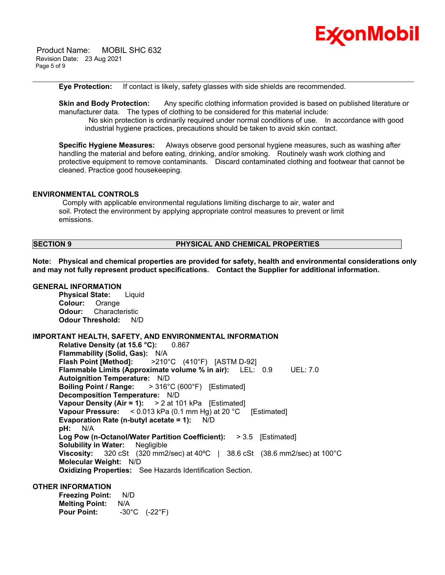

 Product Name: MOBIL SHC 632 Revision Date: 23 Aug 2021 Page 5 of 9

**Eye Protection:** If contact is likely, safety glasses with side shields are recommended.

**Skin and Body Protection:** Any specific clothing information provided is based on published literature or manufacturer data. The types of clothing to be considered for this material include: No skin protection is ordinarily required under normal conditions of use. In accordance with good industrial hygiene practices, precautions should be taken to avoid skin contact.

\_\_\_\_\_\_\_\_\_\_\_\_\_\_\_\_\_\_\_\_\_\_\_\_\_\_\_\_\_\_\_\_\_\_\_\_\_\_\_\_\_\_\_\_\_\_\_\_\_\_\_\_\_\_\_\_\_\_\_\_\_\_\_\_\_\_\_\_\_\_\_\_\_\_\_\_\_\_\_\_\_\_\_\_\_\_\_\_\_\_\_\_\_\_\_\_\_\_\_\_\_\_\_\_\_\_\_\_\_\_\_\_\_\_\_\_\_\_

**Specific Hygiene Measures:** Always observe good personal hygiene measures, such as washing after handling the material and before eating, drinking, and/or smoking. Routinely wash work clothing and protective equipment to remove contaminants. Discard contaminated clothing and footwear that cannot be cleaned. Practice good housekeeping.

### **ENVIRONMENTAL CONTROLS**

Comply with applicable environmental regulations limiting discharge to air, water and soil. Protect the environment by applying appropriate control measures to prevent or limit emissions.

### **SECTION 9 PHYSICAL AND CHEMICAL PROPERTIES**

**Note: Physical and chemical properties are provided for safety, health and environmental considerations only and may not fully represent product specifications. Contact the Supplier for additional information.**

#### **GENERAL INFORMATION**

**Physical State:** Liquid **Colour:** Orange **Odour:** Characteristic **Odour Threshold:** N/D

#### **IMPORTANT HEALTH, SAFETY, AND ENVIRONMENTAL INFORMATION**

**Relative Density (at 15.6 °C):** 0.867 **Flammability (Solid, Gas):** N/A **Flash Point [Method]:** >210°C (410°F) [ASTM D-92] **Flammable Limits (Approximate volume % in air):** LEL: 0.9 UEL: 7.0 **Autoignition Temperature:** N/D **Boiling Point / Range:** > 316°C (600°F) [Estimated] **Decomposition Temperature:** N/D **Vapour Density (Air = 1):** > 2 at 101 kPa [Estimated] **Vapour Pressure:** < 0.013 kPa (0.1 mm Hg) at 20 °C [Estimated] **Evaporation Rate (n-butyl acetate = 1):** N/D **pH:** N/A **Log Pow (n-Octanol/Water Partition Coefficient):** > 3.5 [Estimated] **Solubility in Water:** Negligible **Viscosity:** 320 cSt (320 mm2/sec) at 40ºC | 38.6 cSt (38.6 mm2/sec) at 100°C **Molecular Weight:** N/D **Oxidizing Properties:** See Hazards Identification Section.

### **OTHER INFORMATION**

**Freezing Point:** N/D **Melting Point:** N/A **Pour Point:** -30°C (-22°F)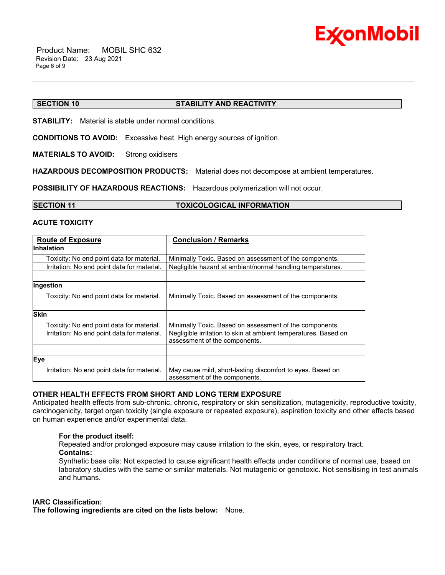

## **SECTION 10 STABILITY AND REACTIVITY**

**STABILITY:** Material is stable under normal conditions.

**CONDITIONS TO AVOID:** Excessive heat. High energy sources of ignition.

**MATERIALS TO AVOID:** Strong oxidisers

**HAZARDOUS DECOMPOSITION PRODUCTS:** Material does not decompose at ambient temperatures.

\_\_\_\_\_\_\_\_\_\_\_\_\_\_\_\_\_\_\_\_\_\_\_\_\_\_\_\_\_\_\_\_\_\_\_\_\_\_\_\_\_\_\_\_\_\_\_\_\_\_\_\_\_\_\_\_\_\_\_\_\_\_\_\_\_\_\_\_\_\_\_\_\_\_\_\_\_\_\_\_\_\_\_\_\_\_\_\_\_\_\_\_\_\_\_\_\_\_\_\_\_\_\_\_\_\_\_\_\_\_\_\_\_\_\_\_\_\_

**POSSIBILITY OF HAZARDOUS REACTIONS:** Hazardous polymerization will not occur.

#### **SECTION 11 TOXICOLOGICAL INFORMATION**

### **ACUTE TOXICITY**

| <b>Route of Exposure</b>                    | <b>Conclusion / Remarks</b>                                     |
|---------------------------------------------|-----------------------------------------------------------------|
| <b>Inhalation</b>                           |                                                                 |
| Toxicity: No end point data for material.   | Minimally Toxic. Based on assessment of the components.         |
| Irritation: No end point data for material. | Negligible hazard at ambient/normal handling temperatures.      |
|                                             |                                                                 |
| Ingestion                                   |                                                                 |
| Toxicity: No end point data for material.   | Minimally Toxic. Based on assessment of the components.         |
|                                             |                                                                 |
| <b>Skin</b>                                 |                                                                 |
| Toxicity: No end point data for material.   | Minimally Toxic. Based on assessment of the components.         |
| Irritation: No end point data for material. | Negligible irritation to skin at ambient temperatures. Based on |
|                                             | assessment of the components.                                   |
|                                             |                                                                 |
| Eye                                         |                                                                 |
| Irritation: No end point data for material. | May cause mild, short-lasting discomfort to eyes. Based on      |
|                                             | assessment of the components.                                   |

# **OTHER HEALTH EFFECTS FROM SHORT AND LONG TERM EXPOSURE**

Anticipated health effects from sub-chronic, chronic, respiratory or skin sensitization, mutagenicity, reproductive toxicity, carcinogenicity, target organ toxicity (single exposure or repeated exposure), aspiration toxicity and other effects based on human experience and/or experimental data.

# **For the product itself:**

Repeated and/or prolonged exposure may cause irritation to the skin, eyes, or respiratory tract. **Contains:**

Synthetic base oils: Not expected to cause significant health effects under conditions of normal use, based on laboratory studies with the same or similar materials. Not mutagenic or genotoxic. Not sensitising in test animals and humans.

#### **IARC Classification:**

**The following ingredients are cited on the lists below:** None.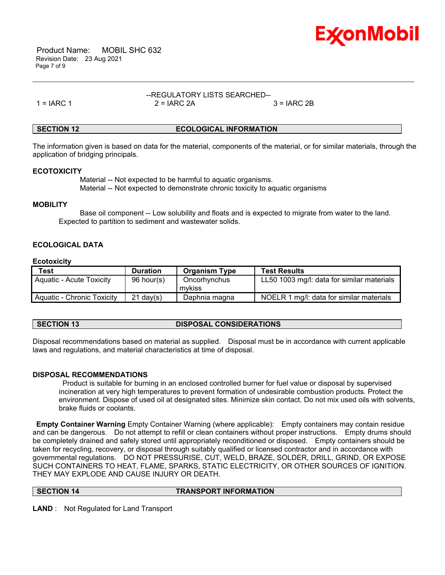

 Product Name: MOBIL SHC 632 Revision Date: 23 Aug 2021 Page 7 of 9

#### --REGULATORY LISTS SEARCHED-- 1 = IARC 1 2 = IARC 2A 3 = IARC 2B

\_\_\_\_\_\_\_\_\_\_\_\_\_\_\_\_\_\_\_\_\_\_\_\_\_\_\_\_\_\_\_\_\_\_\_\_\_\_\_\_\_\_\_\_\_\_\_\_\_\_\_\_\_\_\_\_\_\_\_\_\_\_\_\_\_\_\_\_\_\_\_\_\_\_\_\_\_\_\_\_\_\_\_\_\_\_\_\_\_\_\_\_\_\_\_\_\_\_\_\_\_\_\_\_\_\_\_\_\_\_\_\_\_\_\_\_\_\_

# **SECTION 12 ECOLOGICAL INFORMATION**

The information given is based on data for the material, components of the material, or for similar materials, through the application of bridging principals.

### **ECOTOXICITY**

 Material -- Not expected to be harmful to aquatic organisms. Material -- Not expected to demonstrate chronic toxicity to aquatic organisms

### **MOBILITY**

 Base oil component -- Low solubility and floats and is expected to migrate from water to the land. Expected to partition to sediment and wastewater solids.

# **ECOLOGICAL DATA**

# **Ecotoxicity**

| <b>Test</b>                     | <b>Duration</b>     | <b>Organism Type</b>   | <b>Test Results</b>                        |
|---------------------------------|---------------------|------------------------|--------------------------------------------|
| <b>Aquatic - Acute Toxicity</b> | 96 hour(s)          | Oncorhynchus<br>mvkiss | LL50 1003 mg/l: data for similar materials |
| Aquatic - Chronic Toxicity      | $21 \text{ day}(s)$ | Daphnia magna          | NOELR 1 mg/l: data for similar materials   |

**SECTION 13 DISPOSAL CONSIDERATIONS**

Disposal recommendations based on material as supplied. Disposal must be in accordance with current applicable laws and regulations, and material characteristics at time of disposal.

# **DISPOSAL RECOMMENDATIONS**

Product is suitable for burning in an enclosed controlled burner for fuel value or disposal by supervised incineration at very high temperatures to prevent formation of undesirable combustion products. Protect the environment. Dispose of used oil at designated sites. Minimize skin contact. Do not mix used oils with solvents, brake fluids or coolants.

**Empty Container Warning** Empty Container Warning (where applicable): Empty containers may contain residue and can be dangerous. Do not attempt to refill or clean containers without proper instructions. Empty drums should be completely drained and safely stored until appropriately reconditioned or disposed. Empty containers should be taken for recycling, recovery, or disposal through suitably qualified or licensed contractor and in accordance with governmental regulations. DO NOT PRESSURISE, CUT, WELD, BRAZE, SOLDER, DRILL, GRIND, OR EXPOSE SUCH CONTAINERS TO HEAT, FLAME, SPARKS, STATIC ELECTRICITY, OR OTHER SOURCES OF IGNITION. THEY MAY EXPLODE AND CAUSE INJURY OR DEATH.

**SECTION 14 TRANSPORT INFORMATION**

**LAND** : Not Regulated for Land Transport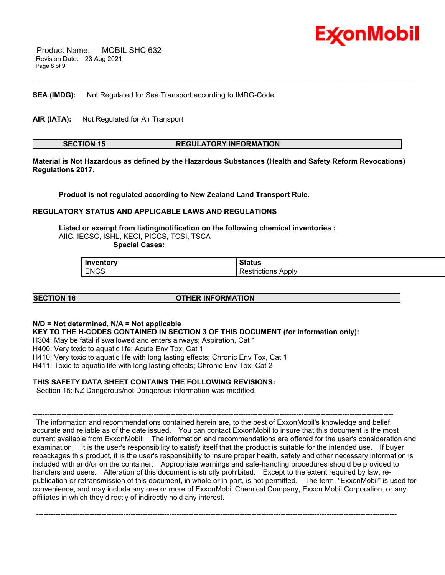

 Product Name: MOBIL SHC 632 Revision Date: 23 Aug 2021 Page 8 of 9

**SEA (IMDG):** Not Regulated for Sea Transport according to IMDG-Code

**AIR (IATA):** Not Regulated for Air Transport

# **SECTION 15 REGULATORY INFORMATION**

\_\_\_\_\_\_\_\_\_\_\_\_\_\_\_\_\_\_\_\_\_\_\_\_\_\_\_\_\_\_\_\_\_\_\_\_\_\_\_\_\_\_\_\_\_\_\_\_\_\_\_\_\_\_\_\_\_\_\_\_\_\_\_\_\_\_\_\_\_\_\_\_\_\_\_\_\_\_\_\_\_\_\_\_\_\_\_\_\_\_\_\_\_\_\_\_\_\_\_\_\_\_\_\_\_\_\_\_\_\_\_\_\_\_\_\_\_\_

**Material is Not Hazardous as defined by the Hazardous Substances (Health and Safety Reform Revocations) Regulations 2017.**

**Product is not regulated according to New Zealand Land Transport Rule.**

# **REGULATORY STATUS AND APPLICABLE LAWS AND REGULATIONS**

**Listed or exempt from listing/notification on the following chemical inventories :**  AIIC, IECSC, ISHL, KECI, PICCS, TCSI, TSCA  **Special Cases:**

| .           | $\sim$ $\sim$ $\sim$                 |
|-------------|--------------------------------------|
| norv        | w                                    |
| <b>ENCS</b> | . ADDIV<br>פווטווי <sup>.</sup><br>. |

**SECTION 16 OTHER INFORMATION**

# **N/D = Not determined, N/A = Not applicable**

**KEY TO THE H-CODES CONTAINED IN SECTION 3 OF THIS DOCUMENT (for information only):**

H304: May be fatal if swallowed and enters airways; Aspiration, Cat 1

H400: Very toxic to aquatic life; Acute Env Tox, Cat 1

H410: Very toxic to aquatic life with long lasting effects; Chronic Env Tox, Cat 1

H411: Toxic to aquatic life with long lasting effects; Chronic Env Tox, Cat 2

# **THIS SAFETY DATA SHEET CONTAINS THE FOLLOWING REVISIONS:**

Section 15: NZ Dangerous/not Dangerous information was modified.

----------------------------------------------------------------------------------------------------------------------------------------------------- The information and recommendations contained herein are, to the best of ExxonMobil's knowledge and belief, accurate and reliable as of the date issued. You can contact ExxonMobil to insure that this document is the most current available from ExxonMobil. The information and recommendations are offered for the user's consideration and examination. It is the user's responsibility to satisfy itself that the product is suitable for the intended use. If buyer repackages this product, it is the user's responsibility to insure proper health, safety and other necessary information is included with and/or on the container. Appropriate warnings and safe-handling procedures should be provided to handlers and users. Alteration of this document is strictly prohibited. Except to the extent required by law, republication or retransmission of this document, in whole or in part, is not permitted. The term, "ExxonMobil" is used for convenience, and may include any one or more of ExxonMobil Chemical Company, Exxon Mobil Corporation, or any affiliates in which they directly of indirectly hold any interest.

-----------------------------------------------------------------------------------------------------------------------------------------------------